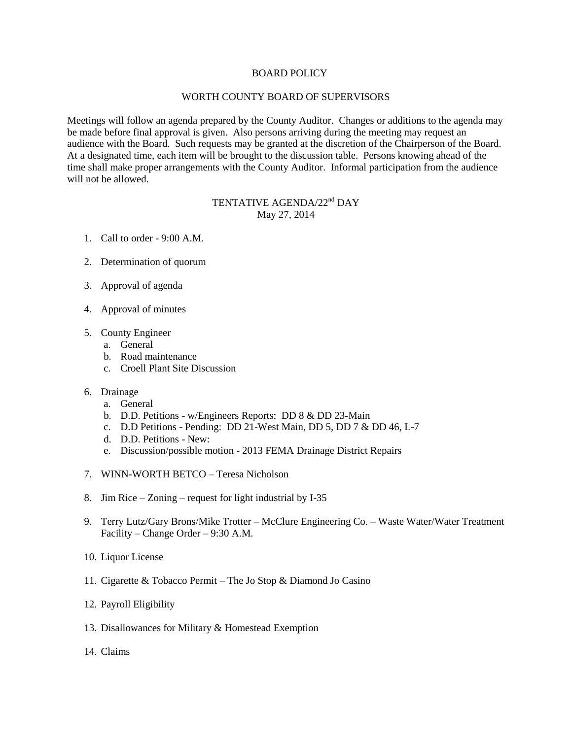## BOARD POLICY

## WORTH COUNTY BOARD OF SUPERVISORS

Meetings will follow an agenda prepared by the County Auditor. Changes or additions to the agenda may be made before final approval is given. Also persons arriving during the meeting may request an audience with the Board. Such requests may be granted at the discretion of the Chairperson of the Board. At a designated time, each item will be brought to the discussion table. Persons knowing ahead of the time shall make proper arrangements with the County Auditor. Informal participation from the audience will not be allowed.

## TENTATIVE AGENDA/22<sup>nd</sup> DAY May 27, 2014

- 1. Call to order 9:00 A.M.
- 2. Determination of quorum
- 3. Approval of agenda
- 4. Approval of minutes
- 5. County Engineer
	- a. General
	- b. Road maintenance
	- c. Croell Plant Site Discussion
- 6. Drainage
	- a. General
	- b. D.D. Petitions w/Engineers Reports: DD 8 & DD 23-Main
	- c. D.D Petitions Pending: DD 21-West Main, DD 5, DD 7 & DD 46, L-7
	- d. D.D. Petitions New:
	- e. Discussion/possible motion 2013 FEMA Drainage District Repairs
- 7. WINN-WORTH BETCO Teresa Nicholson
- 8. Jim Rice Zoning request for light industrial by I-35
- 9. Terry Lutz/Gary Brons/Mike Trotter McClure Engineering Co. Waste Water/Water Treatment Facility – Change Order – 9:30 A.M.
- 10. Liquor License
- 11. Cigarette & Tobacco Permit The Jo Stop & Diamond Jo Casino
- 12. Payroll Eligibility
- 13. Disallowances for Military & Homestead Exemption
- 14. Claims